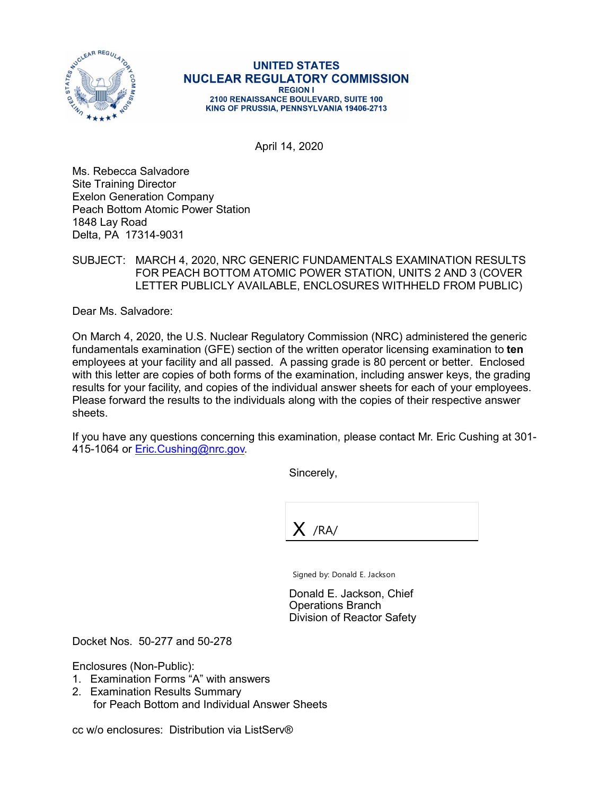

## **UNITED STATES NUCLEAR REGULATORY COMMISSION REGION I** 2100 RENAISSANCE BOULEVARD, SUITE 100 KING OF PRUSSIA, PENNSYLVANIA 19406-2713

April 14, 2020

Ms. Rebecca Salvadore Site Training Director Exelon Generation Company Peach Bottom Atomic Power Station 1848 Lay Road Delta, PA 17314-9031

## SUBJECT: MARCH 4, 2020, NRC GENERIC FUNDAMENTALS EXAMINATION RESULTS FOR PEACH BOTTOM ATOMIC POWER STATION, UNITS 2 AND 3 (COVER LETTER PUBLICLY AVAILABLE, ENCLOSURES WITHHELD FROM PUBLIC)

Dear Ms. Salvadore:

On March 4, 2020, the U.S. Nuclear Regulatory Commission (NRC) administered the generic fundamentals examination (GFE) section of the written operator licensing examination to **ten** employees at your facility and all passed. A passing grade is 80 percent or better. Enclosed with this letter are copies of both forms of the examination, including answer keys, the grading results for your facility, and copies of the individual answer sheets for each of your employees. Please forward the results to the individuals along with the copies of their respective answer sheets.

If you have any questions concerning this examination, please contact Mr. Eric Cushing at 301- 415-1064 or Eric.Cushing@nrc.gov

Sincerely,

 $X$  /RA/

Signed by: Donald E. Jackson

Donald E. Jackson, Chief Operations Branch Division of Reactor Safety

Docket Nos. 50-277 and 50-278

Enclosures (Non-Public):

- 1. Examination Forms "A" with answers
- 2. Examination Results Summary for Peach Bottom and Individual Answer Sheets

cc w/o enclosures: Distribution via ListServ®